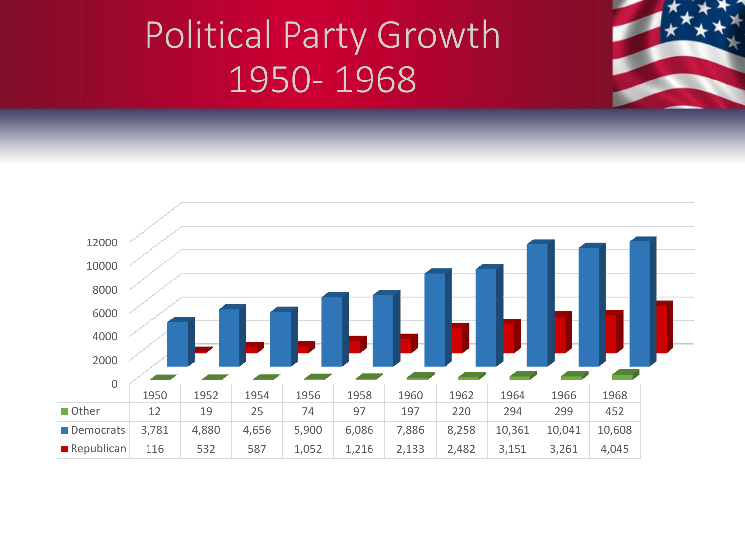

#### Political Party Growth 1950- 1968

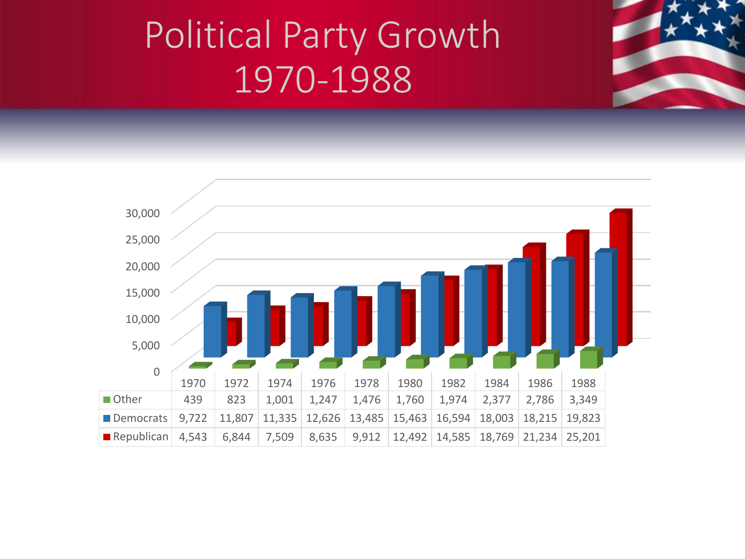

## Political Party Growth 1970-1988

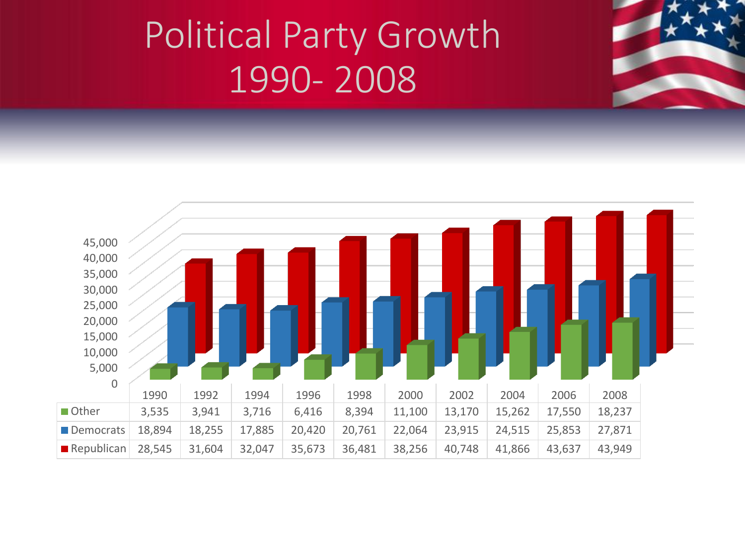

## Political Party Growth 1990- 2008

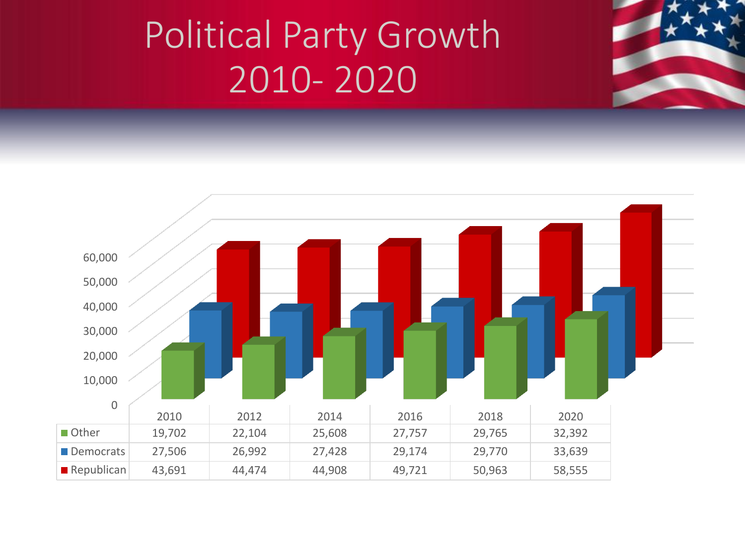## Political Party Growth 2010- 2020